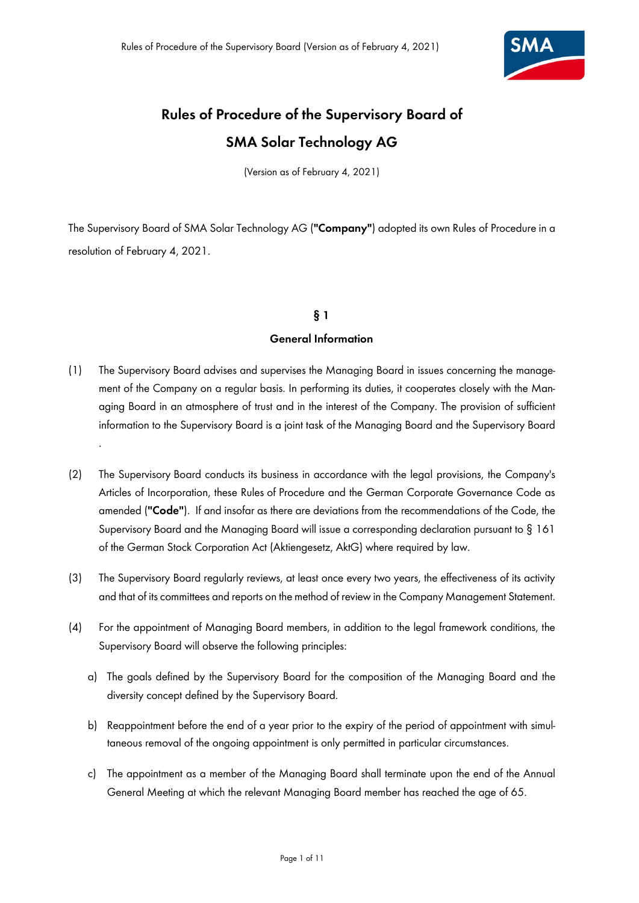

# **Rules of Procedure of the Supervisory Board of SMA Solar Technology AG**

(Version as of February 4, 2021)

The Supervisory Board of SMA Solar Technology AG (**"Company"**) adopted its own Rules of Procedure in a resolution of February 4, 2021.

# **§ 1**

## **General Information**

- (1) The Supervisory Board advises and supervises the Managing Board in issues concerning the management of the Company on a regular basis. In performing its duties, it cooperates closely with the Managing Board in an atmosphere of trust and in the interest of the Company. The provision of sufficient information to the Supervisory Board is a joint task of the Managing Board and the Supervisory Board .
- (2) The Supervisory Board conducts its business in accordance with the legal provisions, the Company's Articles of Incorporation, these Rules of Procedure and the German Corporate Governance Code as amended (**"Code"**). If and insofar as there are deviations from the recommendations of the Code, the Supervisory Board and the Managing Board will issue a corresponding declaration pursuant to § 161 of the German Stock Corporation Act (Aktiengesetz, AktG) where required by law.
- (3) The Supervisory Board regularly reviews, at least once every two years, the effectiveness of its activity and that of its committees and reports on the method of review in the Company Management Statement.
- (4) For the appointment of Managing Board members, in addition to the legal framework conditions, the Supervisory Board will observe the following principles:
	- a) The goals defined by the Supervisory Board for the composition of the Managing Board and the diversity concept defined by the Supervisory Board.
	- b) Reappointment before the end of a year prior to the expiry of the period of appointment with simultaneous removal of the ongoing appointment is only permitted in particular circumstances.
	- c) The appointment as a member of the Managing Board shall terminate upon the end of the Annual General Meeting at which the relevant Managing Board member has reached the age of 65.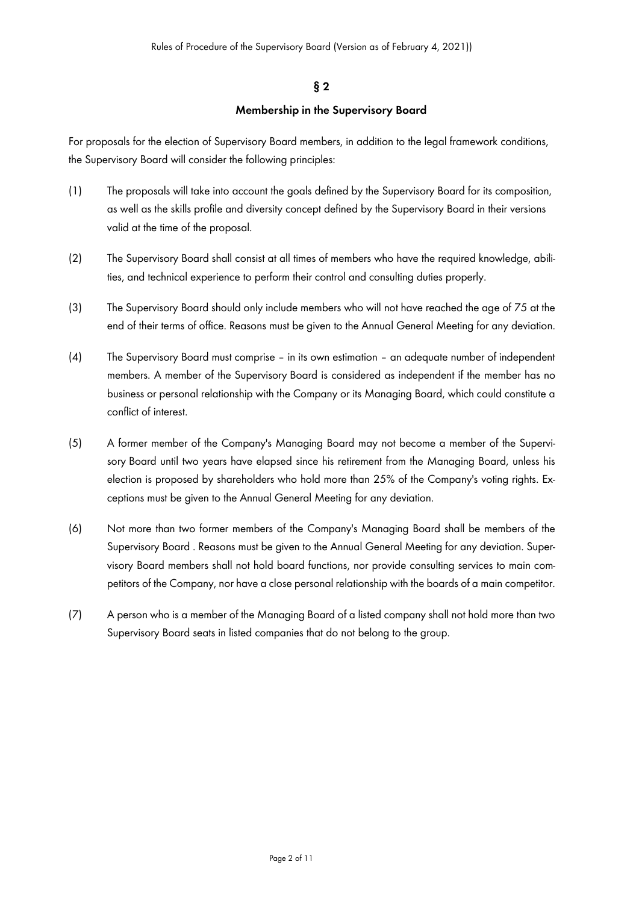# **§ 2**

# **Membership in the Supervisory Board**

For proposals for the election of Supervisory Board members, in addition to the legal framework conditions, the Supervisory Board will consider the following principles:

- (1) The proposals will take into account the goals defined by the Supervisory Board for its composition, as well as the skills profile and diversity concept defined by the Supervisory Board in their versions valid at the time of the proposal.
- (2) The Supervisory Board shall consist at all times of members who have the required knowledge, abilities, and technical experience to perform their control and consulting duties properly.
- (3) The Supervisory Board should only include members who will not have reached the age of 75 at the end of their terms of office. Reasons must be given to the Annual General Meeting for any deviation.
- (4) The Supervisory Board must comprise in its own estimation an adequate number of independent members. A member of the Supervisory Board is considered as independent if the member has no business or personal relationship with the Company or its Managing Board, which could constitute a conflict of interest.
- (5) A former member of the Company's Managing Board may not become a member of the Supervisory Board until two years have elapsed since his retirement from the Managing Board, unless his election is proposed by shareholders who hold more than 25% of the Company's voting rights. Exceptions must be given to the Annual General Meeting for any deviation.
- (6) Not more than two former members of the Company's Managing Board shall be members of the Supervisory Board . Reasons must be given to the Annual General Meeting for any deviation. Supervisory Board members shall not hold board functions, nor provide consulting services to main competitors of the Company, nor have a close personal relationship with the boards of a main competitor.
- (7) A person who is a member of the Managing Board of a listed company shall not hold more than two Supervisory Board seats in listed companies that do not belong to the group.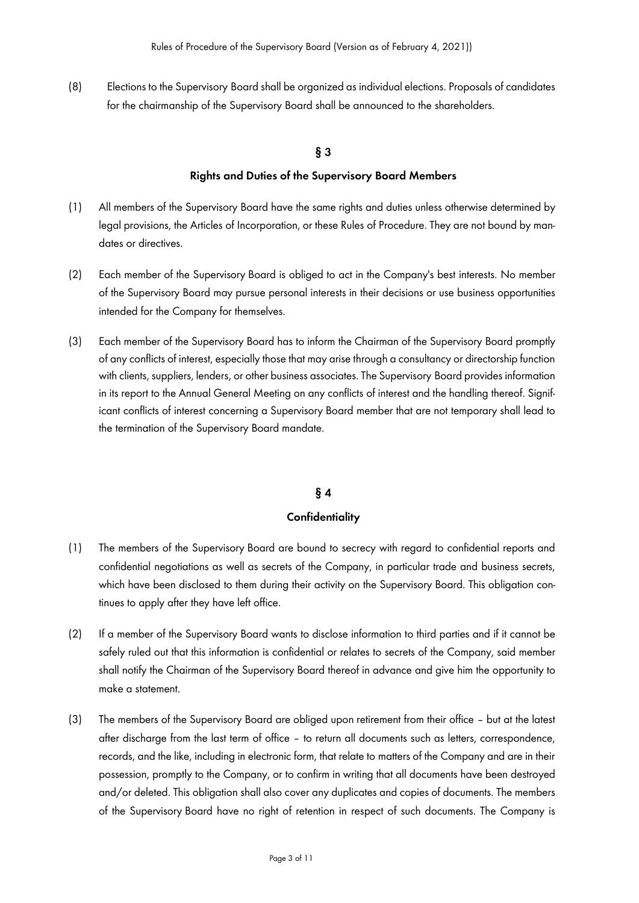(8) Elections to the Supervisory Board shall be organized as individual elections. Proposals of candidates for the chairmanship of the Supervisory Board shall be announced to the shareholders.

## **§ 3**

#### **Rights and Duties of the Supervisory Board Members**

- (1) All members of the Supervisory Board have the same rights and duties unless otherwise determined by legal provisions, the Articles of Incorporation, or these Rules of Procedure. They are not bound by mandates or directives.
- (2) Each member of the Supervisory Board is obliged to act in the Company's best interests. No member of the Supervisory Board may pursue personal interests in their decisions or use business opportunities intended for the Company for themselves.
- (3) Each member of the Supervisory Board has to inform the Chairman of the Supervisory Board promptly of any conflicts of interest, especially those that may arise through a consultancy or directorship function with clients, suppliers, lenders, or other business associates. The Supervisory Board provides information in its report to the Annual General Meeting on any conflicts of interest and the handling thereof. Significant conflicts of interest concerning a Supervisory Board member that are not temporary shall lead to the termination of the Supervisory Board mandate.

## **§ 4**

#### **Confidentiality**

- (1) The members of the Supervisory Board are bound to secrecy with regard to confidential reports and confidential negotiations as well as secrets of the Company, in particular trade and business secrets, which have been disclosed to them during their activity on the Supervisory Board. This obligation continues to apply after they have left office.
- (2) If a member of the Supervisory Board wants to disclose information to third parties and if it cannot be safely ruled out that this information is confidential or relates to secrets of the Company, said member shall notify the Chairman of the Supervisory Board thereof in advance and give him the opportunity to make a statement.
- (3) The members of the Supervisory Board are obliged upon retirement from their office but at the latest after discharge from the last term of office – to return all documents such as letters, correspondence, records, and the like, including in electronic form, that relate to matters of the Company and are in their possession, promptly to the Company, or to confirm in writing that all documents have been destroyed and/or deleted. This obligation shall also cover any duplicates and copies of documents. The members of the Supervisory Board have no right of retention in respect of such documents. The Company is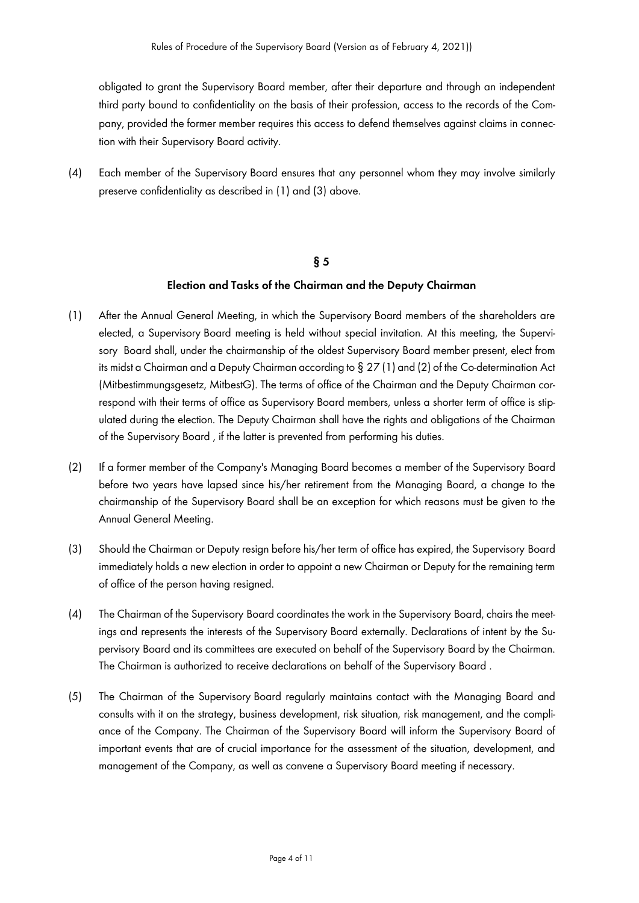obligated to grant the Supervisory Board member, after their departure and through an independent third party bound to confidentiality on the basis of their profession, access to the records of the Company, provided the former member requires this access to defend themselves against claims in connection with their Supervisory Board activity.

(4) Each member of the Supervisory Board ensures that any personnel whom they may involve similarly preserve confidentiality as described in (1) and (3) above.

#### **§ 5**

#### **Election and Tasks of the Chairman and the Deputy Chairman**

- (1) After the Annual General Meeting, in which the Supervisory Board members of the shareholders are elected, a Supervisory Board meeting is held without special invitation. At this meeting, the Supervisory Board shall, under the chairmanship of the oldest Supervisory Board member present, elect from its midst a Chairman and a Deputy Chairman according to § 27 (1) and (2) of the Co-determination Act (Mitbestimmungsgesetz, MitbestG). The terms of office of the Chairman and the Deputy Chairman correspond with their terms of office as Supervisory Board members, unless a shorter term of office is stipulated during the election. The Deputy Chairman shall have the rights and obligations of the Chairman of the Supervisory Board , if the latter is prevented from performing his duties.
- (2) If a former member of the Company's Managing Board becomes a member of the Supervisory Board before two years have lapsed since his/her retirement from the Managing Board, a change to the chairmanship of the Supervisory Board shall be an exception for which reasons must be given to the Annual General Meeting.
- (3) Should the Chairman or Deputy resign before his/her term of office has expired, the Supervisory Board immediately holds a new election in order to appoint a new Chairman or Deputy for the remaining term of office of the person having resigned.
- (4) The Chairman of the Supervisory Board coordinates the work in the Supervisory Board, chairs the meetings and represents the interests of the Supervisory Board externally. Declarations of intent by the Supervisory Board and its committees are executed on behalf of the Supervisory Board by the Chairman. The Chairman is authorized to receive declarations on behalf of the Supervisory Board .
- (5) The Chairman of the Supervisory Board regularly maintains contact with the Managing Board and consults with it on the strategy, business development, risk situation, risk management, and the compliance of the Company. The Chairman of the Supervisory Board will inform the Supervisory Board of important events that are of crucial importance for the assessment of the situation, development, and management of the Company, as well as convene a Supervisory Board meeting if necessary.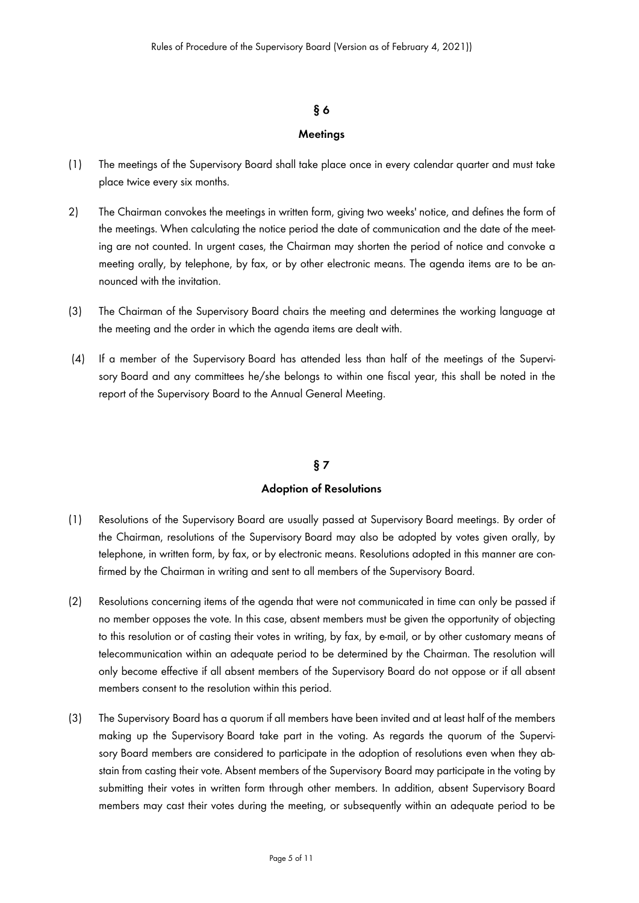## **§ 6**

#### **Meetings**

- (1) The meetings of the Supervisory Board shall take place once in every calendar quarter and must take place twice every six months.
- 2) The Chairman convokes the meetings in written form, giving two weeks' notice, and defines the form of the meetings. When calculating the notice period the date of communication and the date of the meeting are not counted. In urgent cases, the Chairman may shorten the period of notice and convoke a meeting orally, by telephone, by fax, or by other electronic means. The agenda items are to be announced with the invitation.
- (3) The Chairman of the Supervisory Board chairs the meeting and determines the working language at the meeting and the order in which the agenda items are dealt with.
- (4) If a member of the Supervisory Board has attended less than half of the meetings of the Supervisory Board and any committees he/she belongs to within one fiscal year, this shall be noted in the report of the Supervisory Board to the Annual General Meeting.

## **§ 7**

#### **Adoption of Resolutions**

- (1) Resolutions of the Supervisory Board are usually passed at Supervisory Board meetings. By order of the Chairman, resolutions of the Supervisory Board may also be adopted by votes given orally, by telephone, in written form, by fax, or by electronic means. Resolutions adopted in this manner are confirmed by the Chairman in writing and sent to all members of the Supervisory Board.
- (2) Resolutions concerning items of the agenda that were not communicated in time can only be passed if no member opposes the vote. In this case, absent members must be given the opportunity of objecting to this resolution or of casting their votes in writing, by fax, by e-mail, or by other customary means of telecommunication within an adequate period to be determined by the Chairman. The resolution will only become effective if all absent members of the Supervisory Board do not oppose or if all absent members consent to the resolution within this period.
- (3) The Supervisory Board has a quorum if all members have been invited and at least half of the members making up the Supervisory Board take part in the voting. As regards the quorum of the Supervisory Board members are considered to participate in the adoption of resolutions even when they abstain from casting their vote. Absent members of the Supervisory Board may participate in the voting by submitting their votes in written form through other members. In addition, absent Supervisory Board members may cast their votes during the meeting, or subsequently within an adequate period to be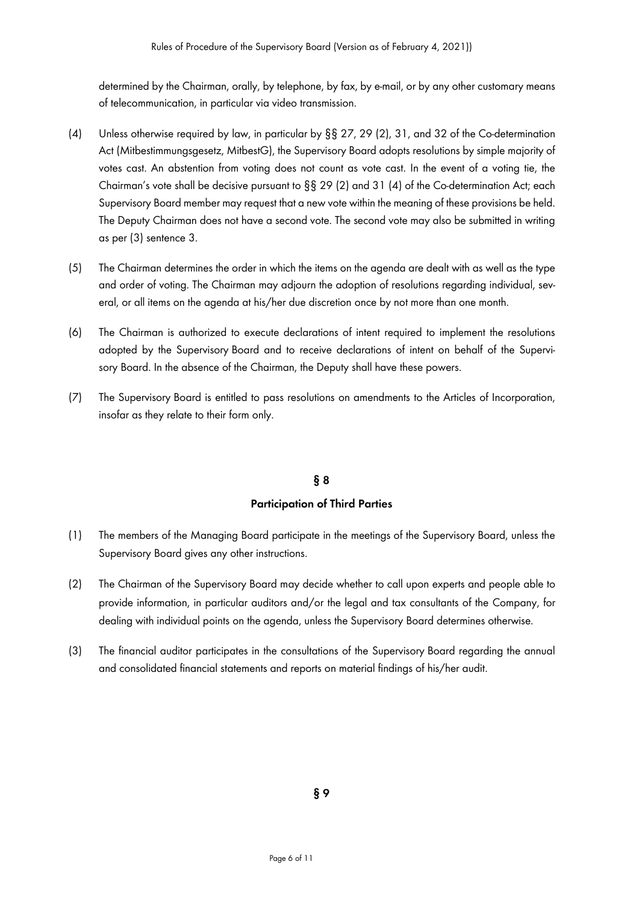determined by the Chairman, orally, by telephone, by fax, by e-mail, or by any other customary means of telecommunication, in particular via video transmission.

- (4) Unless otherwise required by law, in particular by §§ 27, 29 (2), 31, and 32 of the Co-determination Act (Mitbestimmungsgesetz, MitbestG), the Supervisory Board adopts resolutions by simple majority of votes cast. An abstention from voting does not count as vote cast. In the event of a voting tie, the Chairman's vote shall be decisive pursuant to §§ 29 (2) and 31 (4) of the Co-determination Act; each Supervisory Board member may request that a new vote within the meaning of these provisions be held. The Deputy Chairman does not have a second vote. The second vote may also be submitted in writing as per (3) sentence 3.
- (5) The Chairman determines the order in which the items on the agenda are dealt with as well as the type and order of voting. The Chairman may adjourn the adoption of resolutions regarding individual, several, or all items on the agenda at his/her due discretion once by not more than one month.
- (6) The Chairman is authorized to execute declarations of intent required to implement the resolutions adopted by the Supervisory Board and to receive declarations of intent on behalf of the Supervisory Board. In the absence of the Chairman, the Deputy shall have these powers.
- (7) The Supervisory Board is entitled to pass resolutions on amendments to the Articles of Incorporation, insofar as they relate to their form only.

#### **§ 8**

#### **Participation of Third Parties**

- (1) The members of the Managing Board participate in the meetings of the Supervisory Board, unless the Supervisory Board gives any other instructions.
- (2) The Chairman of the Supervisory Board may decide whether to call upon experts and people able to provide information, in particular auditors and/or the legal and tax consultants of the Company, for dealing with individual points on the agenda, unless the Supervisory Board determines otherwise.
- (3) The financial auditor participates in the consultations of the Supervisory Board regarding the annual and consolidated financial statements and reports on material findings of his/her audit.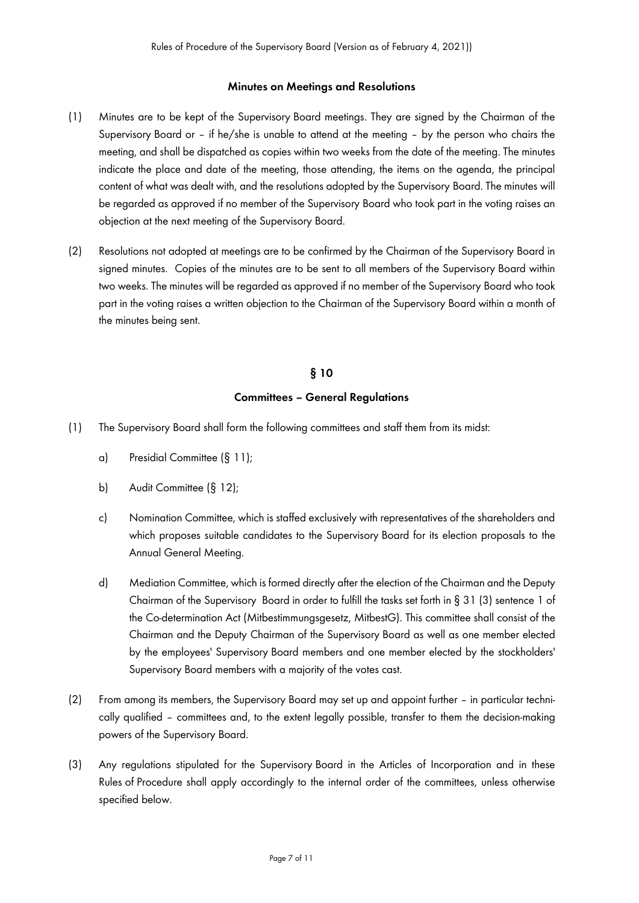#### **Minutes on Meetings and Resolutions**

- (1) Minutes are to be kept of the Supervisory Board meetings. They are signed by the Chairman of the Supervisory Board or – if he/she is unable to attend at the meeting – by the person who chairs the meeting, and shall be dispatched as copies within two weeks from the date of the meeting. The minutes indicate the place and date of the meeting, those attending, the items on the agenda, the principal content of what was dealt with, and the resolutions adopted by the Supervisory Board. The minutes will be regarded as approved if no member of the Supervisory Board who took part in the voting raises an objection at the next meeting of the Supervisory Board.
- (2) Resolutions not adopted at meetings are to be confirmed by the Chairman of the Supervisory Board in signed minutes. Copies of the minutes are to be sent to all members of the Supervisory Board within two weeks. The minutes will be regarded as approved if no member of the Supervisory Board who took part in the voting raises a written objection to the Chairman of the Supervisory Board within a month of the minutes being sent.

#### **§ 10**

#### **Committees – General Regulations**

- (1) The Supervisory Board shall form the following committees and staff them from its midst:
	- a) Presidial Committee (§ 11);
	- b) Audit Committee (§ 12):
	- c) Nomination Committee, which is staffed exclusively with representatives of the shareholders and which proposes suitable candidates to the Supervisory Board for its election proposals to the Annual General Meeting.
	- d) Mediation Committee, which is formed directly after the election of the Chairman and the Deputy Chairman of the Supervisory Board in order to fulfill the tasks set forth in § 31 (3) sentence 1 of the Co-determination Act (Mitbestimmungsgesetz, MitbestG). This committee shall consist of the Chairman and the Deputy Chairman of the Supervisory Board as well as one member elected by the employees' Supervisory Board members and one member elected by the stockholders' Supervisory Board members with a majority of the votes cast.
- (2) From among its members, the Supervisory Board may set up and appoint further in particular technically qualified – committees and, to the extent legally possible, transfer to them the decision-making powers of the Supervisory Board.
- (3) Any regulations stipulated for the Supervisory Board in the Articles of Incorporation and in these Rules of Procedure shall apply accordingly to the internal order of the committees, unless otherwise specified below.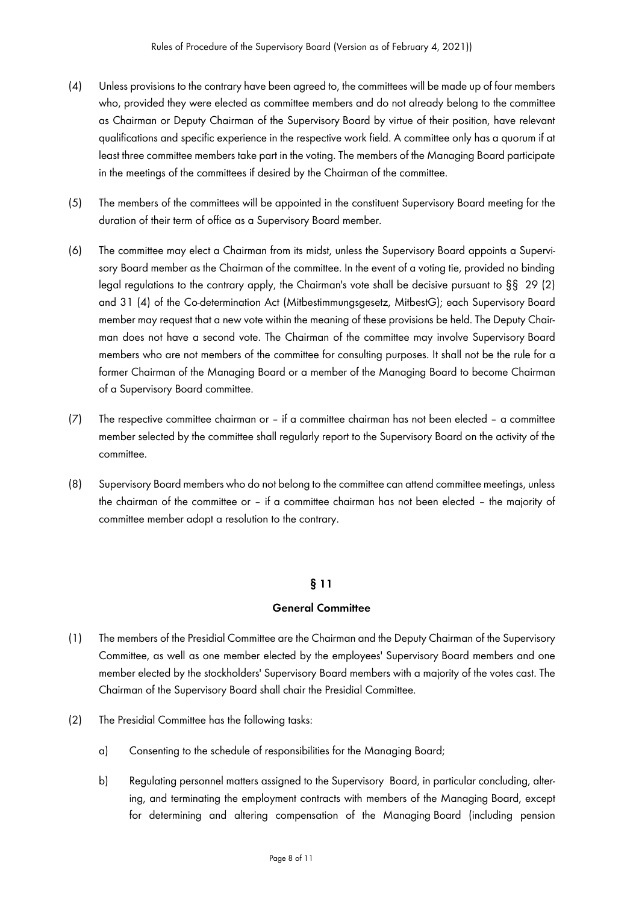- (4) Unless provisions to the contrary have been agreed to, the committees will be made up of four members who, provided they were elected as committee members and do not already belong to the committee as Chairman or Deputy Chairman of the Supervisory Board by virtue of their position, have relevant qualifications and specific experience in the respective work field. A committee only has a quorum if at least three committee members take part in the voting. The members of the Managing Board participate in the meetings of the committees if desired by the Chairman of the committee.
- (5) The members of the committees will be appointed in the constituent Supervisory Board meeting for the duration of their term of office as a Supervisory Board member.
- (6) The committee may elect a Chairman from its midst, unless the Supervisory Board appoints a Supervisory Board member as the Chairman of the committee. In the event of a voting tie, provided no binding legal regulations to the contrary apply, the Chairman's vote shall be decisive pursuant to §§ 29 (2) and 31 (4) of the Co-determination Act (Mitbestimmungsgesetz, MitbestG); each Supervisory Board member may request that a new vote within the meaning of these provisions be held. The Deputy Chairman does not have a second vote. The Chairman of the committee may involve Supervisory Board members who are not members of the committee for consulting purposes. It shall not be the rule for a former Chairman of the Managing Board or a member of the Managing Board to become Chairman of a Supervisory Board committee.
- (7) The respective committee chairman or if a committee chairman has not been elected a committee member selected by the committee shall regularly report to the Supervisory Board on the activity of the committee.
- (8) Supervisory Board members who do not belong to the committee can attend committee meetings, unless the chairman of the committee or – if a committee chairman has not been elected – the majority of committee member adopt a resolution to the contrary.

## **§ 11**

## **General Committee**

- (1) The members of the Presidial Committee are the Chairman and the Deputy Chairman of the Supervisory Committee, as well as one member elected by the employees' Supervisory Board members and one member elected by the stockholders' Supervisory Board members with a majority of the votes cast. The Chairman of the Supervisory Board shall chair the Presidial Committee.
- (2) The Presidial Committee has the following tasks:
	- a) Consenting to the schedule of responsibilities for the Managing Board;
	- b) Regulating personnel matters assigned to the Supervisory Board, in particular concluding, altering, and terminating the employment contracts with members of the Managing Board, except for determining and altering compensation of the Managing Board (including pension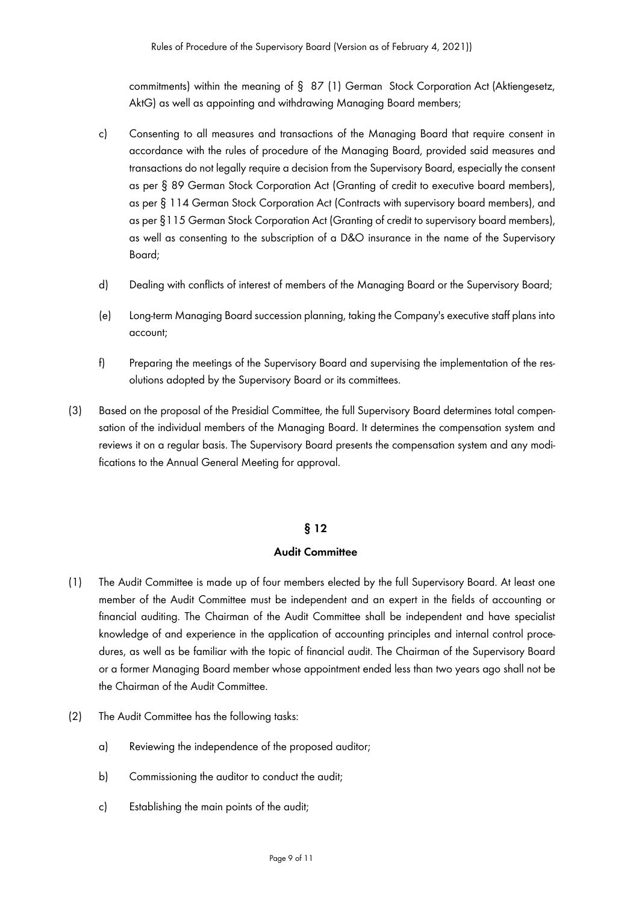commitments) within the meaning of § 87 (1) German Stock Corporation Act (Aktiengesetz, AktG) as well as appointing and withdrawing Managing Board members;

- c) Consenting to all measures and transactions of the Managing Board that require consent in accordance with the rules of procedure of the Managing Board, provided said measures and transactions do not legally require a decision from the Supervisory Board, especially the consent as per § 89 German Stock Corporation Act (Granting of credit to executive board members), as per § 114 German Stock Corporation Act (Contracts with supervisory board members), and as per §115 German Stock Corporation Act (Granting of credit to supervisory board members), as well as consenting to the subscription of a D&O insurance in the name of the Supervisory Board;
- d) Dealing with conflicts of interest of members of the Managing Board or the Supervisory Board;
- (e) Long-term Managing Board succession planning, taking the Company's executive staff plans into account;
- f) Preparing the meetings of the Supervisory Board and supervising the implementation of the resolutions adopted by the Supervisory Board or its committees.
- (3) Based on the proposal of the Presidial Committee, the full Supervisory Board determines total compensation of the individual members of the Managing Board. It determines the compensation system and reviews it on a regular basis. The Supervisory Board presents the compensation system and any modifications to the Annual General Meeting for approval.

#### **§ 12**

#### **Audit Committee**

- (1) The Audit Committee is made up of four members elected by the full Supervisory Board. At least one member of the Audit Committee must be independent and an expert in the fields of accounting or financial auditing. The Chairman of the Audit Committee shall be independent and have specialist knowledge of and experience in the application of accounting principles and internal control procedures, as well as be familiar with the topic of financial audit. The Chairman of the Supervisory Board or a former Managing Board member whose appointment ended less than two years ago shall not be the Chairman of the Audit Committee.
- (2) The Audit Committee has the following tasks:
	- a) Reviewing the independence of the proposed auditor;
	- b) Commissioning the auditor to conduct the audit;
	- c) Establishing the main points of the audit;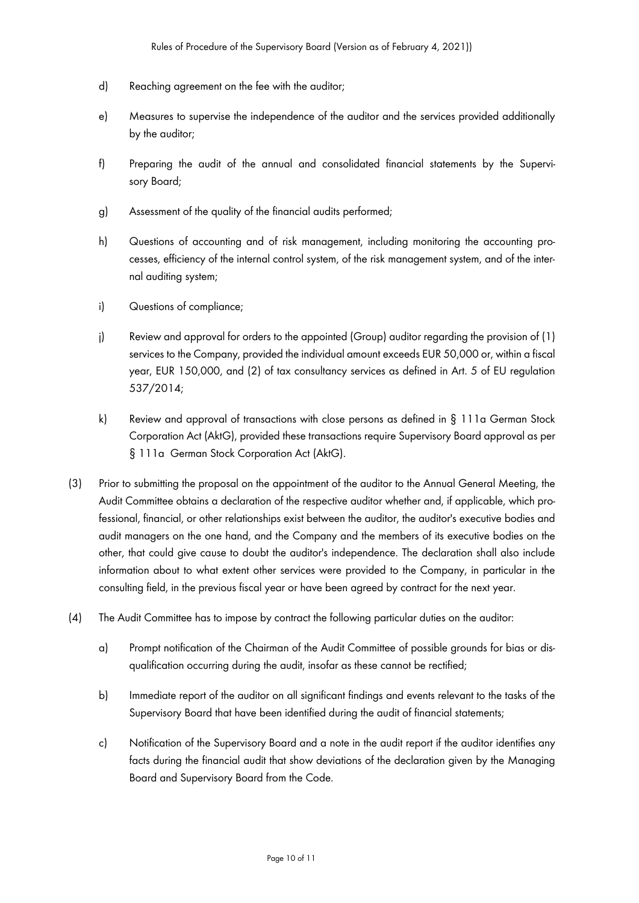- d) Reaching agreement on the fee with the auditor;
- e) Measures to supervise the independence of the auditor and the services provided additionally by the auditor;
- f) Preparing the audit of the annual and consolidated financial statements by the Supervisory Board;
- g) Assessment of the quality of the financial audits performed;
- h) Questions of accounting and of risk management, including monitoring the accounting processes, efficiency of the internal control system, of the risk management system, and of the internal auditing system;
- i) Questions of compliance;
- j) Review and approval for orders to the appointed (Group) auditor regarding the provision of (1) services to the Company, provided the individual amount exceeds EUR 50,000 or, within a fiscal year, EUR 150,000, and (2) of tax consultancy services as defined in Art. 5 of EU regulation 537/2014;
- k) Review and approval of transactions with close persons as defined in § 111a German Stock Corporation Act (AktG), provided these transactions require Supervisory Board approval as per § 111a German Stock Corporation Act (AktG).
- (3) Prior to submitting the proposal on the appointment of the auditor to the Annual General Meeting, the Audit Committee obtains a declaration of the respective auditor whether and, if applicable, which professional, financial, or other relationships exist between the auditor, the auditor's executive bodies and audit managers on the one hand, and the Company and the members of its executive bodies on the other, that could give cause to doubt the auditor's independence. The declaration shall also include information about to what extent other services were provided to the Company, in particular in the consulting field, in the previous fiscal year or have been agreed by contract for the next year.
- (4) The Audit Committee has to impose by contract the following particular duties on the auditor:
	- a) Prompt notification of the Chairman of the Audit Committee of possible grounds for bias or disqualification occurring during the audit, insofar as these cannot be rectified;
	- b) Immediate report of the auditor on all significant findings and events relevant to the tasks of the Supervisory Board that have been identified during the audit of financial statements;
	- c) Notification of the Supervisory Board and a note in the audit report if the auditor identifies any facts during the financial audit that show deviations of the declaration given by the Managing Board and Supervisory Board from the Code.